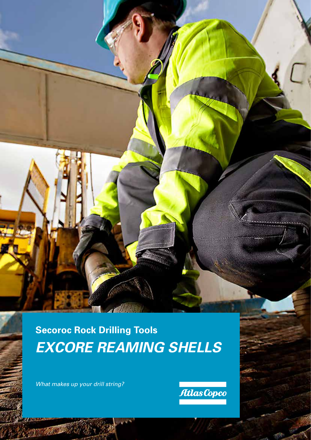**Secoroc Rock Drilling Tools** *EXCORE REAMING SHELLS*

di la

*What makes up your drill string?* 

**PARK 1** 

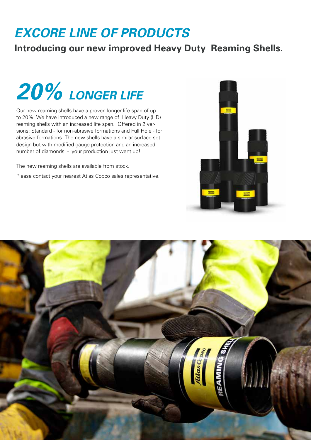## *EXCORE LINE OF PRODUCTS*

### **Introducing our new improved Heavy Duty Reaming Shells.**



Our new reaming shells have a proven longer life span of up to 20%. We have introduced a new range of Heavy Duty (HD) reaming shells with an increased life span. Offered in 2 versions: Standard - for non-abrasive formations and Full Hole - for abrasive formations. The new shells have a similar surface set design but with modified gauge protection and an increased number of diamonds - your production just went up!

The new reaming shells are available from stock.

Please contact your nearest Atlas Copco sales representative.



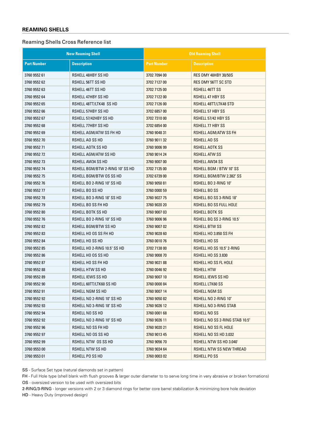#### **REAMING SHELLS**

#### Reaming Shells Cross Reference list

| <b>New Reaming Shell</b> |                                 | <b>Old Reaming Shell</b> |                                |
|--------------------------|---------------------------------|--------------------------|--------------------------------|
| <b>Part Number</b>       | <b>Description</b>              | <b>Part Number</b>       | <b>Description</b>             |
| 3760 9552 61             | <b>RSHELL 48HBY SS HD</b>       | 3702 7094 00             | <b>RES DMY 48HBY 30/50S</b>    |
| 3760 9552 62             | RSHELL 56TT SS HD               | 3702 7127 00             | <b>RES DMY 56TT SC STD</b>     |
| 3760 9552 63             | <b>RSHELL 46TT SS HD</b>        | 3702 7125 00             | <b>RSHELL 46TT SS</b>          |
| 3760 9552 64             | RSHELL 47HBY SS HD              | 3702 7122 00             | <b>RSHELL 47 HBY SS</b>        |
| 3760 9552 65             | RSHELL 48TT/LTK48 SS HD         | 3702 7126 00             | RSHELL 48TT/LTK48 STD          |
| 3760 9552 66             | RSHELL 57HBY SS HD              | 3702 6857 00             | <b>RSHELL 57 HBY SS</b>        |
| 3760 9552 67             | RSHELL 57/42HBY SS HD           | 3702 7310 00             | RSHELL 57/42 HBY SS            |
| 3760 9552 68             | RSHELL 77HBY SS HD              | 3702 6854 00             | <b>RSHELL 77 HBY SS</b>        |
| 3760 9552 69             | RSHELL AGM/ATW SS FH HD         | 3760 9048 31             | RSHELL AGM/ATW SS FH           |
| 3760 9552 70             | RSHELL AO SS HD                 | 3760 9011 32             | RSHELL AO SS                   |
| 3760 9552 71             | RSHELL AOTK SS HD               | 3760 9006 99             | <b>RSHELL AOTK SS</b>          |
| 3760 9552 72             | RSHELL AGM/ATW SS HD            | 3760 9014 24             | <b>RSHELL ATW SS</b>           |
| 3760 9552 73             | RSHELL AW34 SS HD               | 3760 9007 00             | <b>RSHELL AW34 SS</b>          |
| 3760 9552 74             | RSHELL BGM/BTW 2-RING 10" SS HD | 3702 7135 00             | RSHELL BGM / BTW 10" SS        |
| 3760 9552 75             | RSHELL BGM/BTW OS SS HD         | 3702 6739 00             | RSHELL BGM/BTW 2.382" SS       |
| 3760 9552 76             | RSHELL BO 2-RING 10" SS HD      | 3760 9050 81             | RSHELL BO 2-RING 10"           |
| 3760 9552 77             | RSHELL BO SS HD                 | 3760 0000 59             | RSHELL BOSS                    |
| 3760 9552 78             | RSHELL BO 3-RING 18" SS HD      | 3760 9027 75             | RSHELL BO SS 3-RING 18"        |
| 3760 9552 79             | RSHELL BO SS FH HD              | 3760 9020 20             | RSHELL BO SS FULL HOLE         |
| 3760 9552 80             | RSHELL BOTK SS HD               | 3760 9007 03             | RSHELL BOTK SS                 |
| 3760 9552 76             | RSHELL BO 2-RING 10" SS HD      | 3760 9006 96             | RSHELL BQ SS 2-RING 10.5'      |
| 3760 9552 82             | RSHELL BGM/BTW SS HD            | 3760 9007 02             | <b>RSHELL BTW SS</b>           |
| 3760 9552 83             | RSHELL HO OS SS FH HD           | 3760 9028 60             | RSHELL HO 3.850 SS FH          |
| 3760 9552 84             | RSHELL HO SS HD                 | 3760 0010 76             | <b>RSHELL HOSS</b>             |
| 3760 9552 85             | RSHELL HO 2-RING 10.5" SS HD    | 3702 7138 00             | RSHELL HO SS 10.5" 2-RING      |
| 3760 9552 86             | RSHELL HO OS SS HD              | 3760 9008 70             | <b>RSHELL HO SS 3.830</b>      |
| 3760 9552 87             | RSHELL HO SS FH HD              | 3760 9021 88             | RSHELL HO SS FL HOLE           |
| 3760 9552 88             | RSHELL HTW SS HD                | 3760 0046 92             | <b>RSHELL HTW</b>              |
| 3760 9552 89             | RSHELL JEWS SS HD               | 3760 9007 10             | RSHELL JEWS SS HD              |
| 3760 9552 90             | RSHELL 60TT/LTK60 SS HD         | 3760 0000 84             | <b>RSHELL LIK60 SS</b>         |
| 3760 9552 91             | RSHELL NGM SS HD                | 3760 9007 14             | <b>RSHELL NGM SS</b>           |
| 3760 9552 92             | RSHELL NO 2-RING 10" SS HD      | 3760 9050 82             | RSHELL NO 2-RING 10"           |
| 3760 9552 93             | RSHELL NO 3-RING 18" SS HD      | 3760 9026 12             | RSHELL NO 3-RING STAB          |
| 3760 9552 94             | RSHELL NO SS HD                 | 3760 0001 68             | RSHELL NO SS                   |
| 3760 9552 92             | RSHELL NO 2-RING 10" SS HD      | 3760 9026 11             | RSHELL NO SS 2-RING STAB 10.5" |
| 3760 9552 96             | RSHELL NO SS FH HD              | 3760 9020 21             | RSHELL NO SS FL HOLE           |
| 3760 9552 97             | RSHELL NO OS SS HD              | 3760 9013 45             | RSHELL NO SS HD 3.032          |
| 3760 9552 99             | RSHELL NTW OS SS HD             | 3760 9056 70             | <b>RSHELL NTW SS HD 3.040'</b> |
| 3760 9553 00             | RSHELL NTW SS HD                | 3760 9034 64             | RSHELL NTW SS NEW THREAD       |
| 3760 9553 01             | RSHELL PO SS HD                 | 3760 0003 02             | RSHELL PO SS                   |

SS - Surface Set type (natural diamonds set in pattern)

FH - Full Hole type (shell blank with flush grooves & larger outer diameter to to serve long time in very abrasive or broken formations)

OS - oversized version to be used with oversized bits

2-RING/3-RING - longer versions with 2 or 3 diamond rings for better core barrel stabilization & minimizing bore hole deviation

HD - Heavy Duty (improved design)